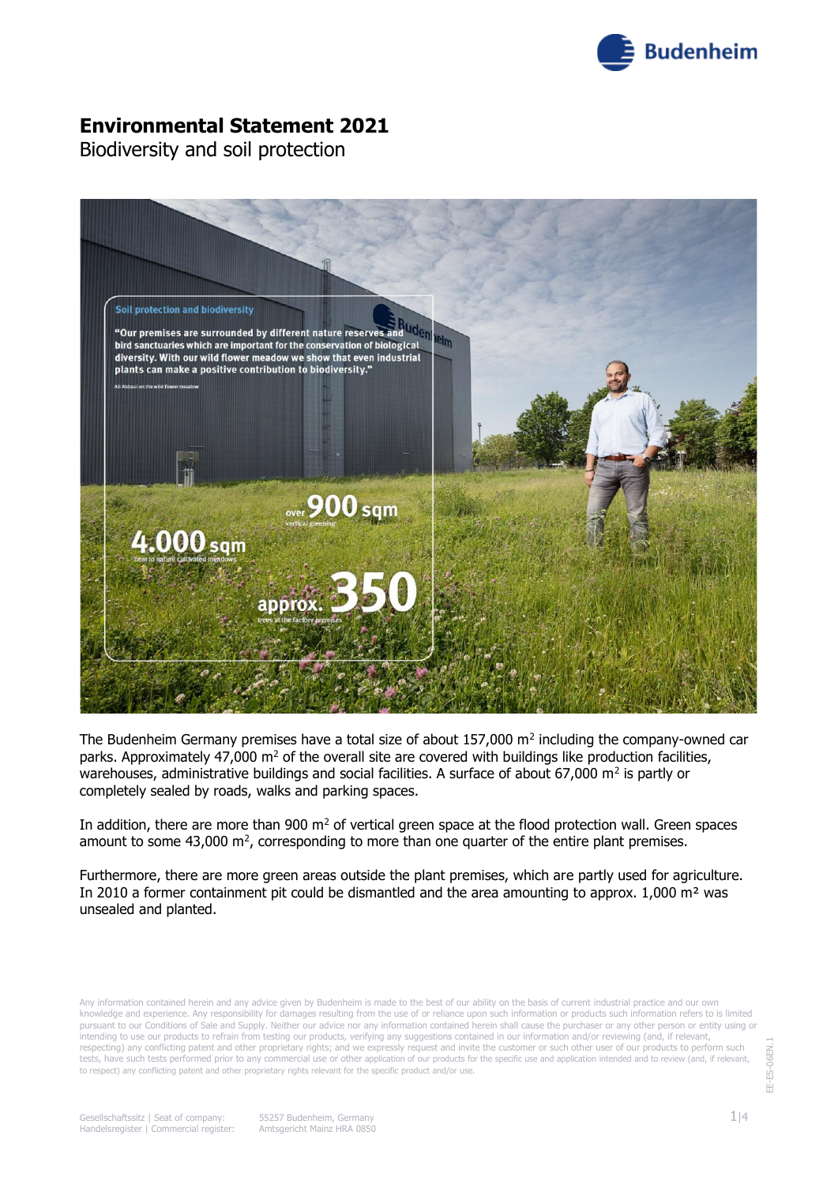

Biodiversity and soil protection



The Budenheim Germany premises have a total size of about  $157,000$  m<sup>2</sup> including the company-owned car parks. Approximately 47,000  $m^2$  of the overall site are covered with buildings like production facilities, warehouses, administrative buildings and social facilities. A surface of about 67,000 m<sup>2</sup> is partly or completely sealed by roads, walks and parking spaces.

In addition, there are more than 900  $\text{m}^2$  of vertical green space at the flood protection wall. Green spaces amount to some 43,000  $m^2$ , corresponding to more than one quarter of the entire plant premises.

Furthermore, there are more green areas outside the plant premises, which are partly used for agriculture. In 2010 a former containment pit could be dismantled and the area amounting to approx.  $1,000$  m<sup>2</sup> was unsealed and planted.

Any information contained herein and any advice given by Budenheim is made to the best of our ability on the basis of current industrial practice and our own knowledge and experience. Any responsibility for damages resulting from the use of or reliance upon such information or products such information refers to is limited pursuant to our Conditions of Sale and Supply. Neither our advice nor any information contained herein shall cause the purchaser or any other person or entity using or intending to use our products to refrain from testing our products, verifying any suggestions contained in our information and/or reviewing (and, if relevant respecting) any conflicting patent and other proprietary rights; and we expressly request and invite the customer or such other user of our products to perform such tests, have such tests performed prior to any commercial use or other application of our products for the specific use and application intended and to review (and, if relevant, to respect) any conflicting patent and other proprietary rights relevant for the specific product and/or use.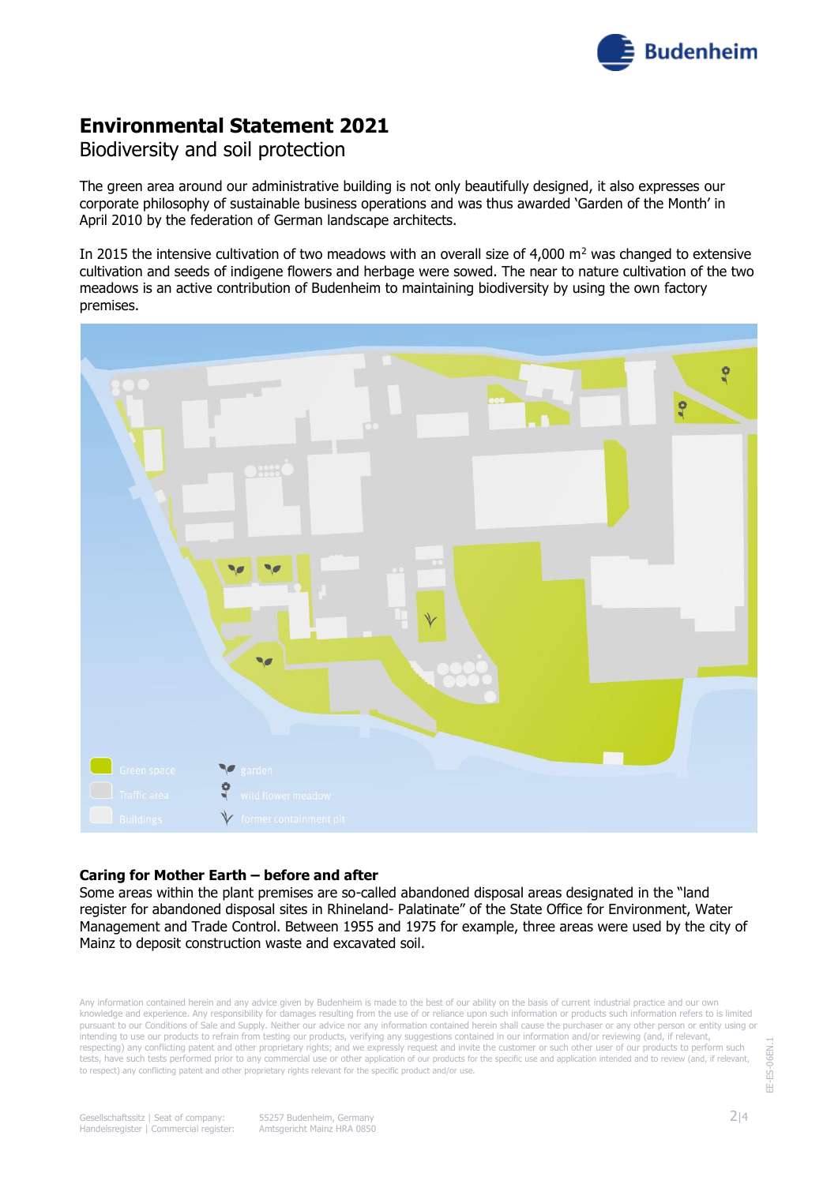

## Biodiversity and soil protection

The green area around our administrative building is not only beautifully designed, it also expresses our corporate philosophy of sustainable business operations and was thus awarded 'Garden of the Month' in April 2010 by the federation of German landscape architects.

In 2015 the intensive cultivation of two meadows with an overall size of 4,000  $m<sup>2</sup>$  was changed to extensive cultivation and seeds of indigene flowers and herbage were sowed. The near to nature cultivation of the two meadows is an active contribution of Budenheim to maintaining biodiversity by using the own factory premises.



#### **Caring for Mother Earth – before and after**

Some areas within the plant premises are so-called abandoned disposal areas designated in the "land register for abandoned disposal sites in Rhineland- Palatinate" of the State Office for Environment, Water Management and Trade Control. Between 1955 and 1975 for example, three areas were used by the city of Mainz to deposit construction waste and excavated soil.

Any information contained herein and any advice given by Budenheim is made to the best of our ability on the basis of current industrial practice and our own knowledge and experience. Any responsibility for damages resulting from the use of or reliance upon such information or products such information refers to is limited pursuant to our Conditions of Sale and Supply. Neither our advice nor any information contained herein shall cause the purchaser or any other person or entity using or intending to use our products to refrain from testing our products, verifying any suggestions contained in our information and/or reviewing (and, if relevant, respecting) any conflicting patent and other proprietary rights; and we expressly request and invite the customer or such other user of our products to perform such tests, have such tests performed prior to any commercial use or other application of our products for the specific use and application intended and to review (and, if relevant, to respect) any conflicting patent and other proprietary rights relevant for the specific product and/or use.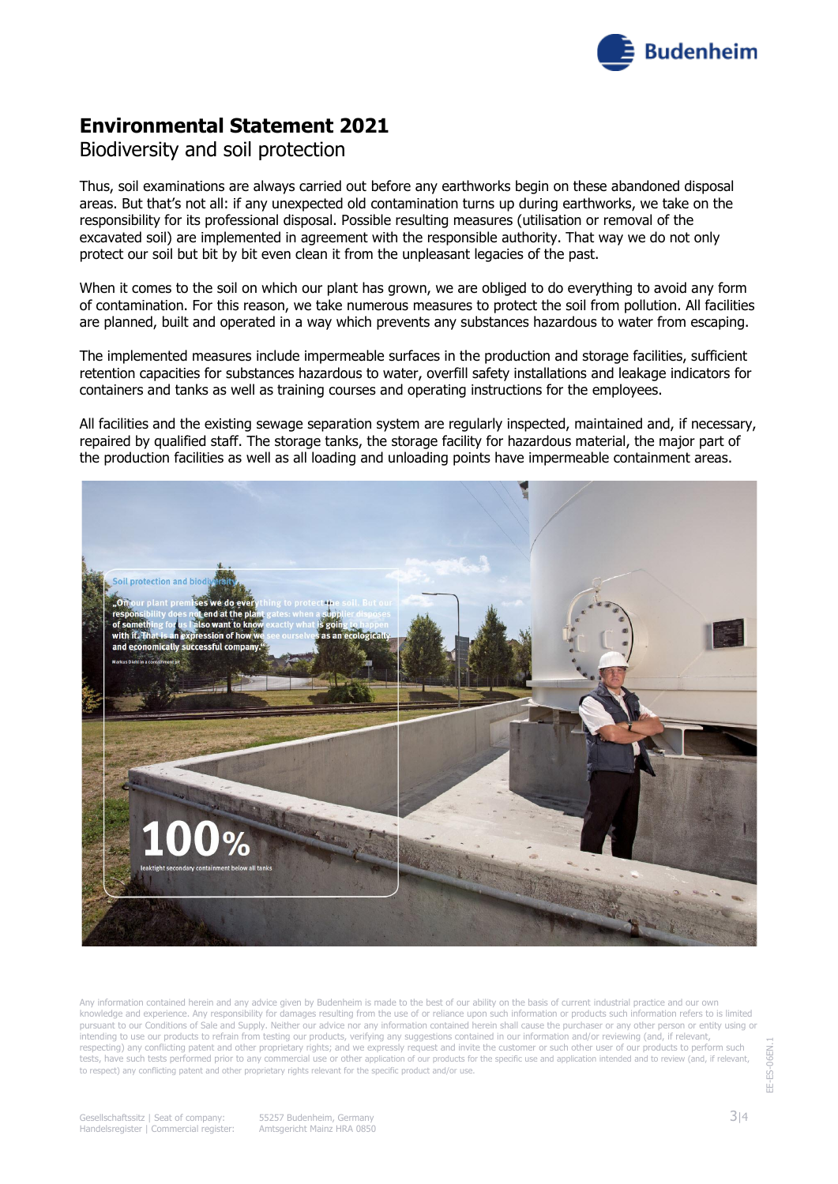

### Biodiversity and soil protection

Thus, soil examinations are always carried out before any earthworks begin on these abandoned disposal areas. But that's not all: if any unexpected old contamination turns up during earthworks, we take on the responsibility for its professional disposal. Possible resulting measures (utilisation or removal of the excavated soil) are implemented in agreement with the responsible authority. That way we do not only protect our soil but bit by bit even clean it from the unpleasant legacies of the past.

When it comes to the soil on which our plant has grown, we are obliged to do everything to avoid any form of contamination. For this reason, we take numerous measures to protect the soil from pollution. All facilities are planned, built and operated in a way which prevents any substances hazardous to water from escaping.

The implemented measures include impermeable surfaces in the production and storage facilities, sufficient retention capacities for substances hazardous to water, overfill safety installations and leakage indicators for containers and tanks as well as training courses and operating instructions for the employees.

All facilities and the existing sewage separation system are regularly inspected, maintained and, if necessary, repaired by qualified staff. The storage tanks, the storage facility for hazardous material, the major part of the production facilities as well as all loading and unloading points have impermeable containment areas.



Any information contained herein and any advice given by Budenheim is made to the best of our ability on the basis of current industrial practice and our own knowledge and experience. Any responsibility for damages resulting from the use of or reliance upon such information or products such information refers to is limited pursuant to our Conditions of Sale and Supply. Neither our advice nor any information contained herein shall cause the purchaser or any other person or entity using or intending to use our products to refrain from testing our products, verifying any suggestions contained in our information and/or reviewing (and, if relevant respecting) any conflicting patent and other proprietary rights; and we expressly request and invite the customer or such other user of our products to perform such tests, have such tests performed prior to any commercial use or other application of our products for the specific use and application intended and to review (and, if relevant, to respect) any conflicting patent and other proprietary rights relevant for the specific product and/or use.